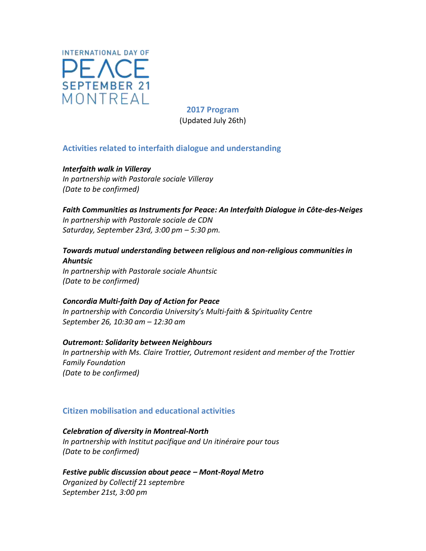

**2017 Program**  (Updated July 26th)

## **Activities related to interfaith dialogue and understanding**

*Interfaith walk in Villeray In partnership with Pastorale sociale Villeray (Date to be confirmed)* 

### *Faith Communities as Instruments for Peace: An Interfaith Dialogue in Côte-des-Neiges In partnership with Pastorale sociale de CDN Saturday, September 23rd, 3:00 pm – 5:30 pm.*

# *Towards mutual understanding between religious and non-religious communities in Ahuntsic*

*In partnership with Pastorale sociale Ahuntsic (Date to be confirmed)* 

## *Concordia Multi-faith Day of Action for Peace In partnership with Concordia University's Multi-faith & Spirituality Centre September 26, 10:30 am – 12:30 am*

*Outremont: Solidarity between Neighbours In partnership with Ms. Claire Trottier, Outremont resident and member of the Trottier Family Foundation (Date to be confirmed)* 

## **Citizen mobilisation and educational activities**

### *Celebration of diversity in Montreal-North*

*In partnership with Institut pacifique and Un itinéraire pour tous (Date to be confirmed)* 

*Festive public discussion about peace – Mont-Royal Metro Organized by Collectif 21 septembre September 21st, 3:00 pm*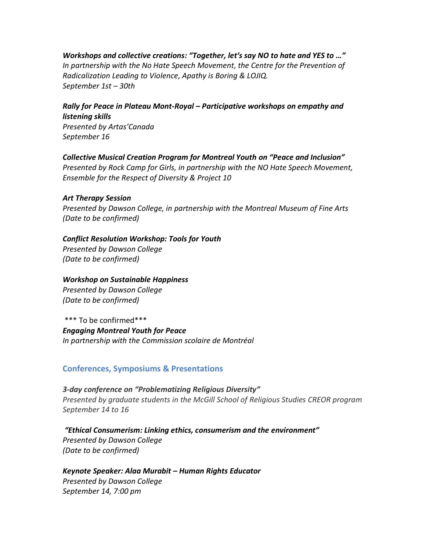*Workshops and collective creations: "Together, let's say NO to hate and YES to …"* In partnership with the No Hate Speech Movement, the Centre for the Prevention of *Radicalization Leading to Violence, Apathy is Boring & LOJIQ. September 1st – 30th* 

*Rally for Peace in Plateau Mont-Royal – Participative workshops on empathy and listening skills Presented by Artas'Canada September 16* 

*Collective Musical Creation Program for Montreal Youth on "Peace and Inclusion" Presented by Rock Camp for Girls, in partnership with the NO Hate Speech Movement, Ensemble for the Respect of Diversity & Project 10* 

#### *Art Therapy Session*

*Presented by Dawson College, in partnership with the Montreal Museum of Fine Arts (Date to be confirmed)* 

### *Conflict Resolution Workshop: Tools for Youth*

*Presented by Dawson College (Date to be confirmed)* 

### *Workshop on Sustainable Happiness*

*Presented by Dawson College (Date to be confirmed)* 

\*\*\* To be confirmed\*\*\* *Engaging Montreal Youth for Peace In partnership with the Commission scolaire de Montréal* 

### **Conferences, Symposiums & Presentations**

*3-day conference on "Problematizing Religious Diversity" Presented by graduate students in the McGill School of Religious Studies CREOR program September 14 to 16* 

*"Ethical Consumerism: Linking ethics, consumerism and the environment" Presented by Dawson College (Date to be confirmed)* 

*Keynote Speaker: Alaa Murabit – Human Rights Educator Presented by Dawson College September 14, 7:00 pm*